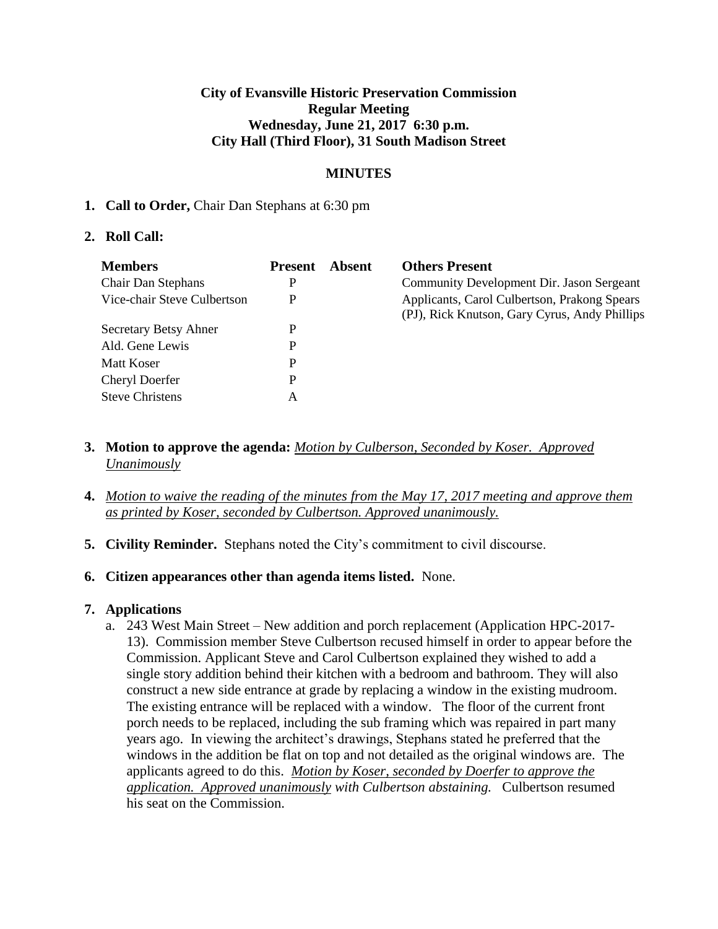### **City of Evansville Historic Preservation Commission Regular Meeting Wednesday, June 21, 2017 6:30 p.m. City Hall (Third Floor), 31 South Madison Street**

# **MINUTES**

### **1. Call to Order,** Chair Dan Stephans at 6:30 pm

### **2. Roll Call:**

| <b>Members</b>               | <b>Present</b> | Absent | <b>Others Present</b>                                                                         |
|------------------------------|----------------|--------|-----------------------------------------------------------------------------------------------|
| Chair Dan Stephans           | P              |        | Community Development Dir. Jason Sergeant                                                     |
| Vice-chair Steve Culbertson  | P              |        | Applicants, Carol Culbertson, Prakong Spears<br>(PJ), Rick Knutson, Gary Cyrus, Andy Phillips |
| <b>Secretary Betsy Ahner</b> | P              |        |                                                                                               |
| Ald. Gene Lewis              | P              |        |                                                                                               |
| Matt Koser                   | P              |        |                                                                                               |
| <b>Cheryl Doerfer</b>        | P              |        |                                                                                               |
| <b>Steve Christens</b>       | A              |        |                                                                                               |

- **3. Motion to approve the agenda:** *Motion by Culberson, Seconded by Koser. Approved Unanimously*
- **4.** *Motion to waive the reading of the minutes from the May 17, 2017 meeting and approve them as printed by Koser, seconded by Culbertson. Approved unanimously.*
- **5. Civility Reminder.** Stephans noted the City's commitment to civil discourse.
- **6. Citizen appearances other than agenda items listed.** None.

# **7. Applications**

a. 243 West Main Street – New addition and porch replacement (Application HPC-2017- 13). Commission member Steve Culbertson recused himself in order to appear before the Commission. Applicant Steve and Carol Culbertson explained they wished to add a single story addition behind their kitchen with a bedroom and bathroom. They will also construct a new side entrance at grade by replacing a window in the existing mudroom. The existing entrance will be replaced with a window. The floor of the current front porch needs to be replaced, including the sub framing which was repaired in part many years ago. In viewing the architect's drawings, Stephans stated he preferred that the windows in the addition be flat on top and not detailed as the original windows are. The applicants agreed to do this. *Motion by Koser, seconded by Doerfer to approve the application. Approved unanimously with Culbertson abstaining.* Culbertson resumed his seat on the Commission.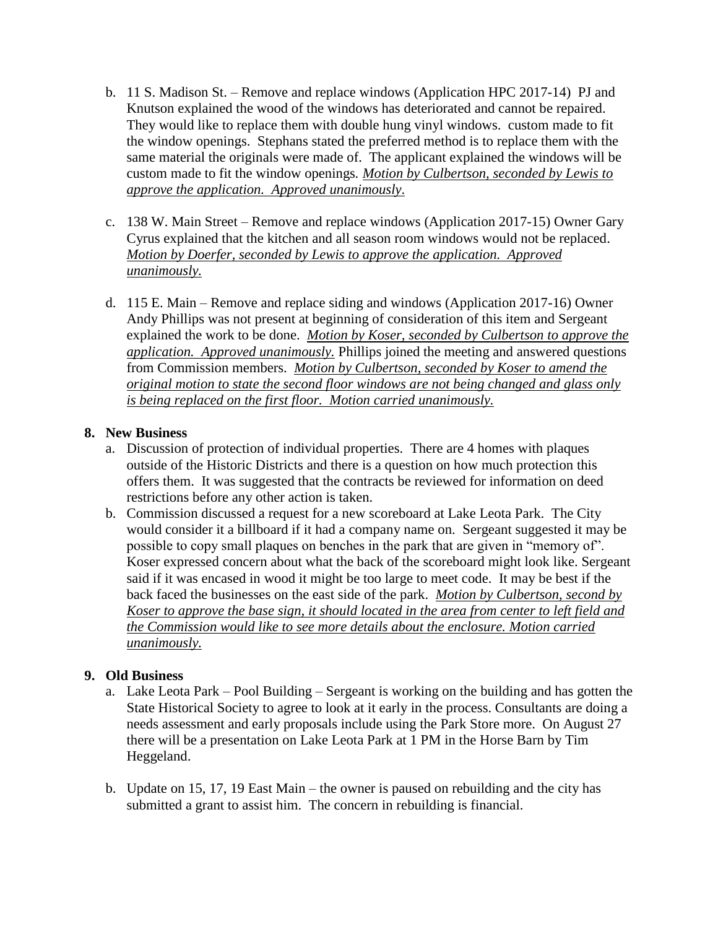- b. 11 S. Madison St. Remove and replace windows (Application HPC 2017-14) PJ and Knutson explained the wood of the windows has deteriorated and cannot be repaired. They would like to replace them with double hung vinyl windows. custom made to fit the window openings. Stephans stated the preferred method is to replace them with the same material the originals were made of. The applicant explained the windows will be custom made to fit the window openings*. Motion by Culbertson, seconded by Lewis to approve the application. Approved unanimously*.
- c. 138 W. Main Street Remove and replace windows (Application 2017-15) Owner Gary Cyrus explained that the kitchen and all season room windows would not be replaced. *Motion by Doerfer, seconded by Lewis to approve the application. Approved unanimously.*
- d. 115 E. Main Remove and replace siding and windows (Application 2017-16) Owner Andy Phillips was not present at beginning of consideration of this item and Sergeant explained the work to be done. *Motion by Koser, seconded by Culbertson to approve the application. Approved unanimously.* Phillips joined the meeting and answered questions from Commission members. *Motion by Culbertson, seconded by Koser to amend the original motion to state the second floor windows are not being changed and glass only is being replaced on the first floor. Motion carried unanimously.*

# **8. New Business**

- a. Discussion of protection of individual properties. There are 4 homes with plaques outside of the Historic Districts and there is a question on how much protection this offers them. It was suggested that the contracts be reviewed for information on deed restrictions before any other action is taken.
- b. Commission discussed a request for a new scoreboard at Lake Leota Park. The City would consider it a billboard if it had a company name on. Sergeant suggested it may be possible to copy small plaques on benches in the park that are given in "memory of". Koser expressed concern about what the back of the scoreboard might look like. Sergeant said if it was encased in wood it might be too large to meet code. It may be best if the back faced the businesses on the east side of the park. *Motion by Culbertson, second by Koser to approve the base sign, it should located in the area from center to left field and the Commission would like to see more details about the enclosure. Motion carried unanimously.*

# **9. Old Business**

- a. Lake Leota Park Pool Building Sergeant is working on the building and has gotten the State Historical Society to agree to look at it early in the process. Consultants are doing a needs assessment and early proposals include using the Park Store more. On August 27 there will be a presentation on Lake Leota Park at 1 PM in the Horse Barn by Tim Heggeland.
- b. Update on 15, 17, 19 East Main the owner is paused on rebuilding and the city has submitted a grant to assist him. The concern in rebuilding is financial.